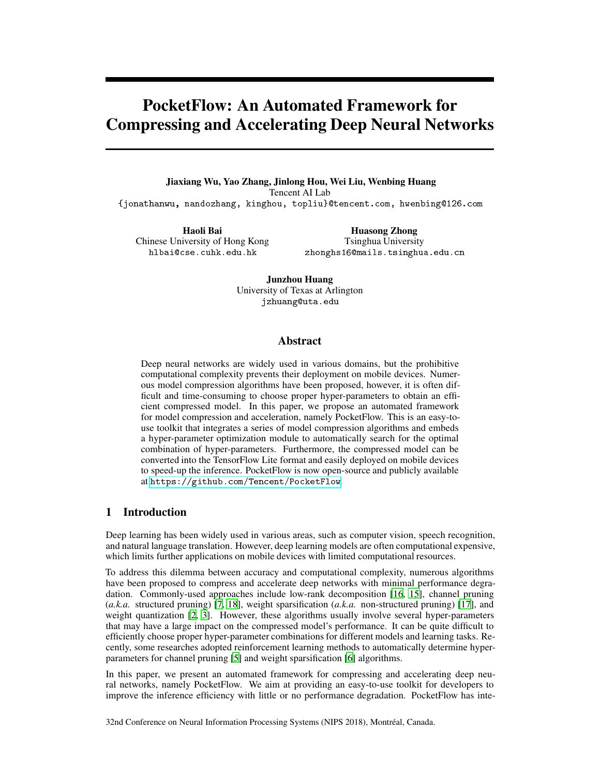# PocketFlow: An Automated Framework for Compressing and Accelerating Deep Neural Networks

Jiaxiang Wu, Yao Zhang, Jinlong Hou, Wei Liu, Wenbing Huang Tencent AI Lab {jonathanwu, nandozhang, kinghou, topliu}@tencent.com, hwenbing@126.com

Haoli Bai Chinese University of Hong Kong hlbai@cse.cuhk.edu.hk

Huasong Zhong Tsinghua University zhonghs16@mails.tsinghua.edu.cn

Junzhou Huang University of Texas at Arlington jzhuang@uta.edu

## Abstract

Deep neural networks are widely used in various domains, but the prohibitive computational complexity prevents their deployment on mobile devices. Numerous model compression algorithms have been proposed, however, it is often difficult and time-consuming to choose proper hyper-parameters to obtain an efficient compressed model. In this paper, we propose an automated framework for model compression and acceleration, namely PocketFlow. This is an easy-touse toolkit that integrates a series of model compression algorithms and embeds a hyper-parameter optimization module to automatically search for the optimal combination of hyper-parameters. Furthermore, the compressed model can be converted into the TensorFlow Lite format and easily deployed on mobile devices to speed-up the inference. PocketFlow is now open-source and publicly available at [https://github.
om/Ten
ent/Po
ketFlow](https://github.com/Tencent/PocketFlow).

# 1 Introduction

Deep learning has been widely used in various areas, such as computer vision, speech recognition, and natural language translation. However, deep learning models are often computational expensive, which limits further applications on mobile devices with limited computational resources.

To address this dilemma between accuracy and computational complexity, numerous algorithms have been proposed to compress and accelerate deep networks with minimal performance degradation. Commonly-used approaches include low-rank decomposition [\[16](#page-4-0), [15\]](#page-4-1), channel pruning (*a.k.a.* structured pruning) [\[7,](#page-3-0) [18\]](#page-4-2), weight sparsification (*a.k.a.* non-structured pruning) [\[17\]](#page-4-3), and weight quantization [\[2](#page-3-1), [3](#page-3-2)]. However, these algorithms usually involve several hyper-parameters that may have a large impact on the compressed model's performance. It can be quite difficult to efficiently choose proper hyper-parameter combinations for different models and learning tasks. Recently, some researches adopted reinforcement learning methods to automatically determine hyperparameters for channel pruning [\[5\]](#page-3-3) and weight sparsification [\[6\]](#page-3-4) algorithms.

In this paper, we present an automated framework for compressing and accelerating deep neural networks, namely PocketFlow. We aim at providing an easy-to-use toolkit for developers to improve the inference efficiency with little or no performance degradation. PocketFlow has inte-

32nd Conference on Neural Information Processing Systems (NIPS 2018), Montréal, Canada.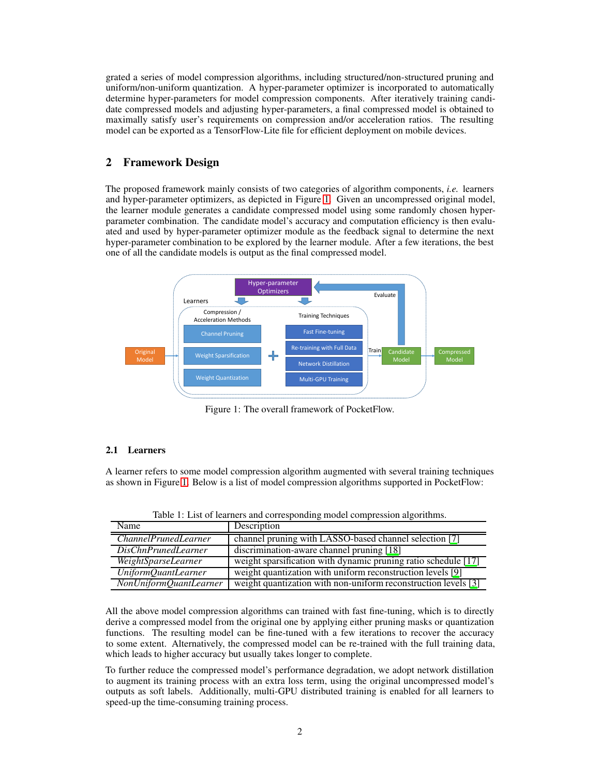grated a series of model compression algorithms, including structured/non-structured pruning and uniform/non-uniform quantization. A hyper-parameter optimizer is incorporated to automatically determine hyper-parameters for model compression components. After iteratively training candidate compressed models and adjusting hyper-parameters, a final compressed model is obtained to maximally satisfy user's requirements on compression and/or acceleration ratios. The resulting model can be exported as a TensorFlow-Lite file for efficient deployment on mobile devices.

## 2 Framework Design

The proposed framework mainly consists of two categories of algorithm components, *i.e.* learners and hyper-parameter optimizers, as depicted in Figure [1.](#page-1-0) Given an uncompressed original model, the learner module generates a candidate compressed model using some randomly chosen hyperparameter combination. The candidate model's accuracy and computation efficiency is then evaluated and used by hyper-parameter optimizer module as the feedback signal to determine the next hyper-parameter combination to be explored by the learner module. After a few iterations, the best one of all the candidate models is output as the final compressed model.

<span id="page-1-0"></span>

Figure 1: The overall framework of PocketFlow.

#### 2.1 Learners

A learner refers to some model compression algorithm augmented with several training techniques as shown in Figure [1.](#page-1-0) Below is a list of model compression algorithms supported in PocketFlow:

| Name                        | Description                                                            |
|-----------------------------|------------------------------------------------------------------------|
| <i>ChannelPrunedLearner</i> | channel pruning with LASSO-based channel selection [7]                 |
| <i>DisChnPrunedLearner</i>  | discrimination-aware channel pruning [18]                              |
| WeightSparseLearner         | weight sparsification with dynamic pruning ratio schedule [17]         |
| UniformQuantLearner         | weight quantization with uniform reconstruction levels [9]             |
| NonUniformQuantLearner      | weight quantization with non-uniform reconstruction levels $\boxed{3}$ |

Table 1: List of learners and corresponding model compression algorithms.

All the above model compression algorithms can trained with fast fine-tuning, which is to directly derive a compressed model from the original one by applying either pruning masks or quantization functions. The resulting model can be fine-tuned with a few iterations to recover the accuracy to some extent. Alternatively, the compressed model can be re-trained with the full training data, which leads to higher accuracy but usually takes longer to complete.

To further reduce the compressed model's performance degradation, we adopt network distillation to augment its training process with an extra loss term, using the original uncompressed model's outputs as soft labels. Additionally, multi-GPU distributed training is enabled for all learners to speed-up the time-consuming training process.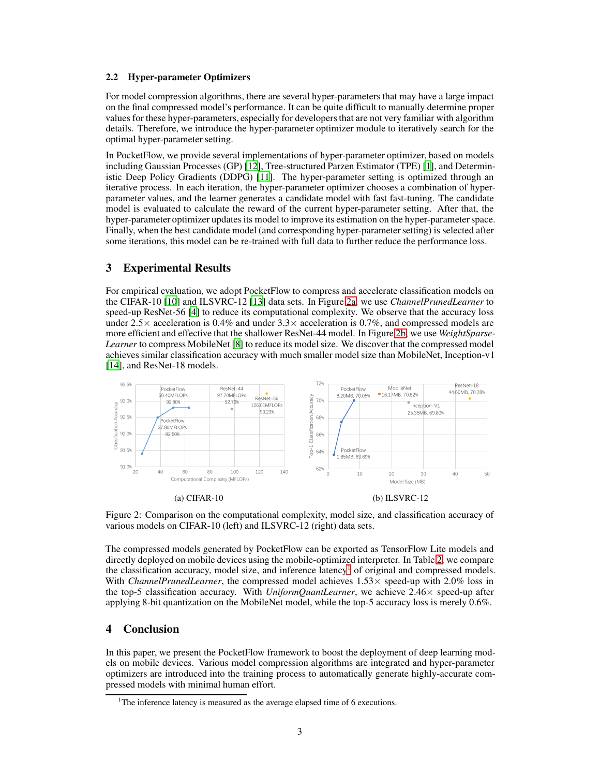#### 2.2 Hyper-parameter Optimizers

For model compression algorithms, there are several hyper-parameters that may have a large impact on the final compressed model's performance. It can be quite difficult to manually determine proper values for these hyper-parameters, especially for developers that are not very familiar with algorithm details. Therefore, we introduce the hyper-parameter optimizer module to iteratively search for the optimal hyper-parameter setting.

In PocketFlow, we provide several implementations of hyper-parameter optimizer, based on models including Gaussian Processes (GP) [\[12\]](#page-3-6), Tree-structured Parzen Estimator (TPE) [\[1\]](#page-3-7), and Deterministic Deep Policy Gradients (DDPG) [\[11](#page-3-8)]. The hyper-parameter setting is optimized through an iterative process. In each iteration, the hyper-parameter optimizer chooses a combination of hyperparameter values, and the learner generates a candidate model with fast fast-tuning. The candidate model is evaluated to calculate the reward of the current hyper-parameter setting. After that, the hyper-parameter optimizer updates its model to improve its estimation on the hyper-parameter space. Finally, when the best candidate model (and corresponding hyper-parameter setting) is selected after some iterations, this model can be re-trained with full data to further reduce the performance loss.

## 3 Experimental Results

For empirical evaluation, we adopt PocketFlow to compress and accelerate classification models on the CIFAR-10 [\[10\]](#page-3-9) and ILSVRC-12 [\[13](#page-3-10)] data sets. In Figure [2a,](#page-2-0) we use *ChannelPrunedLearner* to speed-up ResNet-56 [\[4\]](#page-3-11) to reduce its computational complexity. We observe that the accuracy loss under 2.5 $\times$  acceleration is 0.4% and under 3.3 $\times$  acceleration is 0.7%, and compressed models are more efficient and effective that the shallower ResNet-44 model. In Figure [2b,](#page-2-0) we use *WeightSparse-Learner* to compress MobileNet [\[8](#page-3-12)] to reduce its model size. We discover that the compressed model achieves similar classification accuracy with much smaller model size than MobileNet, Inception-v1 [\[14](#page-3-13)], and ResNet-18 models.

<span id="page-2-0"></span>

Figure 2: Comparison on the computational complexity, model size, and classification accuracy of various models on CIFAR-10 (left) and ILSVRC-12 (right) data sets.

The compressed models generated by PocketFlow can be exported as TensorFlow Lite models and directly deployed on mobile devices using the mobile-optimized interpreter. In Table [2,](#page-3-14) we compare the classification accuracy, model size, and inference latency<sup>[1](#page-2-1)</sup> of original and compressed models. With *ChannelPrunedLearner*, the compressed model achieves 1.53× speed-up with 2.0% loss in the top-5 classification accuracy. With *UniformQuantLearner*, we achieve  $2.46 \times$  speed-up after applying 8-bit quantization on the MobileNet model, while the top-5 accuracy loss is merely 0.6%.

# 4 Conclusion

In this paper, we present the PocketFlow framework to boost the deployment of deep learning models on mobile devices. Various model compression algorithms are integrated and hyper-parameter optimizers are introduced into the training process to automatically generate highly-accurate compressed models with minimal human effort.

<span id="page-2-1"></span><sup>&</sup>lt;sup>1</sup>The inference latency is measured as the average elapsed time of 6 executions.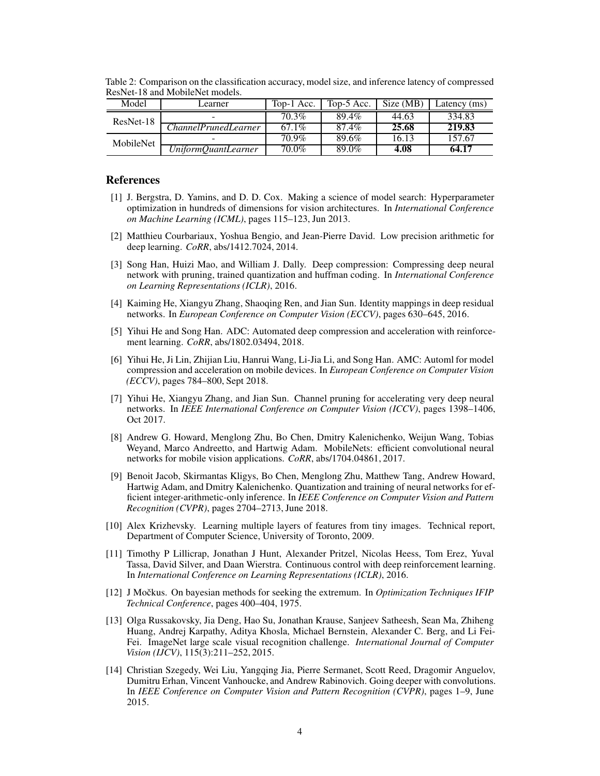| Model       | Learner                          | Top-1 Acc. | Top-5 Acc. | Size (MB) | Latency (ms) |
|-------------|----------------------------------|------------|------------|-----------|--------------|
| $ResNet-18$ |                                  | 70.3%      | 89.4%      | 44.63     | 334.83       |
|             | <i>ChannelPrunedLearner</i>      | $67.1\%$   | 87.4%      | 25.68     | 219.83       |
| MobileNet   |                                  | 70.9%      | 89.6%      | 16.13     | 157.67       |
|             | $\overline{UniformQuantLearner}$ | $70.0\%$   | 89.0%      | 4.08      | 64.17        |

<span id="page-3-14"></span>Table 2: Comparison on the classification accuracy, model size, and inference latency of compressed ResNet-18 and MobileNet models.

### References

- <span id="page-3-7"></span>[1] J. Bergstra, D. Yamins, and D. D. Cox. Making a science of model search: Hyperparameter optimization in hundreds of dimensions for vision architectures. In *International Conference on Machine Learning (ICML)*, pages 115–123, Jun 2013.
- <span id="page-3-1"></span>[2] Matthieu Courbariaux, Yoshua Bengio, and Jean-Pierre David. Low precision arithmetic for deep learning. *CoRR*, abs/1412.7024, 2014.
- <span id="page-3-2"></span>[3] Song Han, Huizi Mao, and William J. Dally. Deep compression: Compressing deep neural network with pruning, trained quantization and huffman coding. In *International Conference on Learning Representations (ICLR)*, 2016.
- <span id="page-3-11"></span>[4] Kaiming He, Xiangyu Zhang, Shaoqing Ren, and Jian Sun. Identity mappings in deep residual networks. In *European Conference on Computer Vision (ECCV)*, pages 630–645, 2016.
- <span id="page-3-3"></span>[5] Yihui He and Song Han. ADC: Automated deep compression and acceleration with reinforcement learning. *CoRR*, abs/1802.03494, 2018.
- <span id="page-3-4"></span>[6] Yihui He, Ji Lin, Zhijian Liu, Hanrui Wang, Li-Jia Li, and Song Han. AMC: Automl for model compression and acceleration on mobile devices. In *European Conference on Computer Vision (ECCV)*, pages 784–800, Sept 2018.
- <span id="page-3-0"></span>[7] Yihui He, Xiangyu Zhang, and Jian Sun. Channel pruning for accelerating very deep neural networks. In *IEEE International Conference on Computer Vision (ICCV)*, pages 1398–1406, Oct 2017.
- <span id="page-3-12"></span>[8] Andrew G. Howard, Menglong Zhu, Bo Chen, Dmitry Kalenichenko, Weijun Wang, Tobias Weyand, Marco Andreetto, and Hartwig Adam. MobileNets: efficient convolutional neural networks for mobile vision applications. *CoRR*, abs/1704.04861, 2017.
- <span id="page-3-5"></span>[9] Benoit Jacob, Skirmantas Kligys, Bo Chen, Menglong Zhu, Matthew Tang, Andrew Howard, Hartwig Adam, and Dmitry Kalenichenko. Quantization and training of neural networks for efficient integer-arithmetic-only inference. In *IEEE Conference on Computer Vision and Pattern Recognition (CVPR)*, pages 2704–2713, June 2018.
- <span id="page-3-9"></span>[10] Alex Krizhevsky. Learning multiple layers of features from tiny images. Technical report, Department of Computer Science, University of Toronto, 2009.
- <span id="page-3-8"></span>[11] Timothy P Lillicrap, Jonathan J Hunt, Alexander Pritzel, Nicolas Heess, Tom Erez, Yuval Tassa, David Silver, and Daan Wierstra. Continuous control with deep reinforcement learning. In *International Conference on Learning Representations (ICLR)*, 2016.
- <span id="page-3-6"></span>[12] J Močkus. On bayesian methods for seeking the extremum. In *Optimization Techniques IFIP Technical Conference*, pages 400–404, 1975.
- <span id="page-3-10"></span>[13] Olga Russakovsky, Jia Deng, Hao Su, Jonathan Krause, Sanjeev Satheesh, Sean Ma, Zhiheng Huang, Andrej Karpathy, Aditya Khosla, Michael Bernstein, Alexander C. Berg, and Li Fei-Fei. ImageNet large scale visual recognition challenge. *International Journal of Computer Vision (IJCV)*, 115(3):211–252, 2015.
- <span id="page-3-13"></span>[14] Christian Szegedy, Wei Liu, Yangqing Jia, Pierre Sermanet, Scott Reed, Dragomir Anguelov, Dumitru Erhan, Vincent Vanhoucke, and Andrew Rabinovich. Going deeper with convolutions. In *IEEE Conference on Computer Vision and Pattern Recognition (CVPR)*, pages 1–9, June 2015.